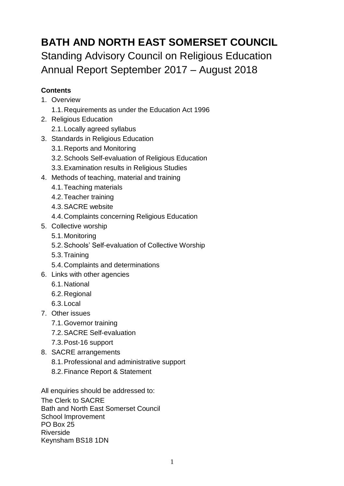# **BATH AND NORTH EAST SOMERSET COUNCIL** Standing Advisory Council on Religious Education Annual Report September 2017 – August 2018

### **Contents**

- 1. Overview
	- 1.1.Requirements as under the Education Act 1996
- 2. Religious Education
	- 2.1.Locally agreed syllabus
- 3. Standards in Religious Education
	- 3.1.Reports and Monitoring
	- 3.2.Schools Self-evaluation of Religious Education
	- 3.3.Examination results in Religious Studies
- 4. Methods of teaching, material and training
	- 4.1.Teaching materials
	- 4.2.Teacher training
	- 4.3.SACRE website
	- 4.4.Complaints concerning Religious Education
- 5. Collective worship
	- 5.1.Monitoring
	- 5.2.Schools' Self-evaluation of Collective Worship
	- 5.3.Training
	- 5.4.Complaints and determinations
- 6. Links with other agencies
	- 6.1.National
	- 6.2.Regional
	- 6.3.Local
- 7. Other issues
	- 7.1.Governor training
	- 7.2.SACRE Self-evaluation
	- 7.3.Post-16 support
- 8. SACRE arrangements
	- 8.1.Professional and administrative support
	- 8.2.Finance Report & Statement

All enquiries should be addressed to:

The Clerk to SACRE Bath and North East Somerset Council School Improvement PO Box 25 Riverside Keynsham BS18 1DN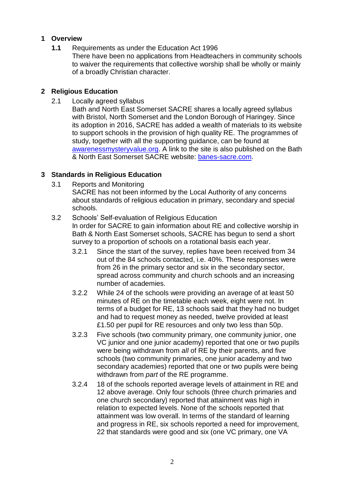#### **1 Overview**

**1.1** Requirements as under the Education Act 1996 There have been no applications from Headteachers in community schools to waiver the requirements that collective worship shall be wholly or mainly of a broadly Christian character.

#### **2 Religious Education**

2.1 Locally agreed syllabus

Bath and North East Somerset SACRE shares a locally agreed syllabus with Bristol, North Somerset and the London Borough of Haringey. Since its adoption in 2016, SACRE has added a wealth of materials to its website to support schools in the provision of high quality RE. The programmes of study, together with all the supporting guidance, can be found at [awarenessmysteryvalue.org.](http://awarenessmysteryvalue.org/) A link to the site is also published on the Bath & North East Somerset SACRE website: [banes-sacre.com.](http://banes-sacre.com/)

#### **3 Standards in Religious Education**

3.1 Reports and Monitoring

SACRE has not been informed by the Local Authority of any concerns about standards of religious education in primary, secondary and special schools.

- 3.2 Schools' Self-evaluation of Religious Education In order for SACRE to gain information about RE and collective worship in Bath & North East Somerset schools, SACRE has begun to send a short survey to a proportion of schools on a rotational basis each year.
	- 3.2.1 Since the start of the survey, replies have been received from 34 out of the 84 schools contacted, i.e. 40%. These responses were from 26 in the primary sector and six in the secondary sector, spread across community and church schools and an increasing number of academies.
	- 3.2.2 While 24 of the schools were providing an average of at least 50 minutes of RE on the timetable each week, eight were not. In terms of a budget for RE, 13 schools said that they had no budget and had to request money as needed, twelve provided at least £1.50 per pupil for RE resources and only two less than 50p.
	- 3.2.3 Five schools (two community primary, one community junior, one VC junior and one junior academy) reported that one or two pupils were being withdrawn from *all* of RE by their parents, and five schools (two community primaries, one junior academy and two secondary academies) reported that one or two pupils were being withdrawn from *part* of the RE programme.
	- 3.2.4 18 of the schools reported average levels of attainment in RE and 12 above average. Only four schools (three church primaries and one church secondary) reported that attainment was high in relation to expected levels. None of the schools reported that attainment was low overall. In terms of the standard of learning and progress in RE, six schools reported a need for improvement, 22 that standards were good and six (one VC primary, one VA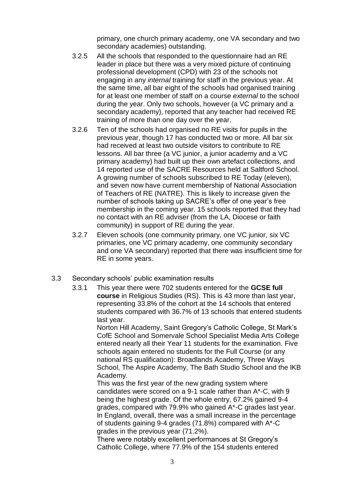primary, one church primary academy, one VA secondary and two secondary academies) outstanding.

- 3.2.5 All the schools that responded to the questionnaire had an RE leader in place but there was a very mixed picture of continuing professional development (CPD) with 23 of the schools not engaging in any *internal* training for staff in the previous year. At the same time, all bar eight of the schools had organised training for at least one member of staff on a course *external* to the school during the year. Only two schools, however (a VC primary and a secondary academy), reported that any teacher had received RE training of more than one day over the year.
- 3.2.6 Ten of the schools had organised no RE visits for pupils in the previous year, though 17 has conducted two or more. All bar six had received at least two outside visitors to contribute to RE lessons. All bar three (a VC junior, a junior academy and a VC primary academy) had built up their own artefact collections, and 14 reported use of the SACRE Resources held at Saltford School. A growing number of schools subscribed to RE Today (eleven), and seven now have current membership of National Association of Teachers of RE (NATRE). This is likely to increase given the number of schools taking up SACRE's offer of one year's free membership in the coming year. 15 schools reported that they had no contact with an RE adviser (from the LA, Diocese or faith community) in support of RE during the year.
- 3.2.7 Eleven schools (one community primary, one VC junior, six VC primaries, one VC primary academy, one community secondary and one VA secondary) reported that there was insufficient time for RE in some years.
- 3.3 Secondary schools' public examination results
	- 3.3.1 This year there were 702 students entered for the **GCSE full course** in Religious Studies (RS). This is 43 more than last year, representing 33.8% of the cohort at the 14 schools that entered students compared with 36.7% of 13 schools that entered students last year.

Norton Hill Academy, Saint Gregory's Catholic College, St Mark's CofE School and Somervale School Specialist Media Arts College entered nearly all their Year 11 students for the examination. Five schools again entered no students for the Full Course (or any national RS qualification): Broadlands Academy, Three Ways School, The Aspire Academy, The Bath Studio School and the IKB Academy.

This was the first year of the new grading system where candidates were scored on a 9-1 scale rather than A\*-C, with 9 being the highest grade. Of the whole entry, 67.2% gained 9-4 grades, compared with 79.9% who gained A\*-C grades last year. In England, overall, there was a small increase in the percentage of students gaining 9-4 grades (71.8%) compared with A\*-C grades in the previous year (71.2%).

There were notably excellent performances at St Gregory's Catholic College, where 77.9% of the 154 students entered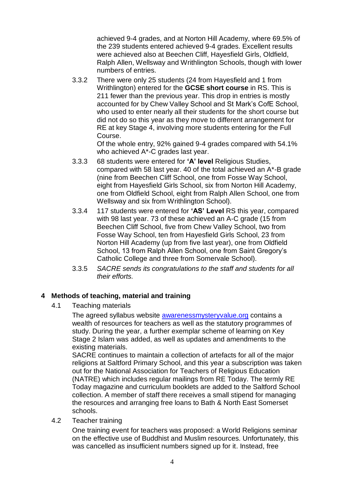achieved 9-4 grades, and at Norton Hill Academy, where 69.5% of the 239 students entered achieved 9-4 grades. Excellent results were achieved also at Beechen Cliff, Hayesfield Girls, Oldfield, Ralph Allen, Wellsway and Writhlington Schools, though with lower numbers of entries.

3.3.2 There were only 25 students (24 from Hayesfield and 1 from Writhlington) entered for the **GCSE short course** in RS. This is 211 fewer than the previous year. This drop in entries is mostly accounted for by Chew Valley School and St Mark's CofE School, who used to enter nearly all their students for the short course but did not do so this year as they move to different arrangement for RE at key Stage 4, involving more students entering for the Full Course.

Of the whole entry, 92% gained 9-4 grades compared with 54.1% who achieved A\*-C grades last year.

- 3.3.3 68 students were entered for **'A' level** Religious Studies, compared with 58 last year. 40 of the total achieved an A\*-B grade (nine from Beechen Cliff School, one from Fosse Way School, eight from Hayesfield Girls School, six from Norton Hill Academy, one from Oldfield School, eight from Ralph Allen School, one from Wellsway and six from Writhlington School).
- 3.3.4 117 students were entered for **'AS' Level** RS this year, compared with 98 last year. 73 of these achieved an A-C grade (15 from Beechen Cliff School, five from Chew Valley School, two from Fosse Way School, ten from Hayesfield Girls School, 23 from Norton Hill Academy (up from five last year), one from Oldfield School, 13 from Ralph Allen School, one from Saint Gregory's Catholic College and three from Somervale School).
- 3.3.5 *SACRE sends its congratulations to the staff and students for all their efforts.*

#### **4 Methods of teaching, material and training**

4.1 Teaching materials

The agreed syllabus website [awarenessmysteryvalue.org](http://awarenessmysteryvalue.org/) contains a wealth of resources for teachers as well as the statutory programmes of study. During the year, a further exemplar scheme of learning on Key Stage 2 Islam was added, as well as updates and amendments to the existing materials.

SACRE continues to maintain a collection of artefacts for all of the major religions at Saltford Primary School, and this year a subscription was taken out for the National Association for Teachers of Religious Education (NATRE) which includes regular mailings from RE Today. The termly RE Today magazine and curriculum booklets are added to the Saltford School collection. A member of staff there receives a small stipend for managing the resources and arranging free loans to Bath & North East Somerset schools.

4.2 Teacher training

One training event for teachers was proposed: a World Religions seminar on the effective use of Buddhist and Muslim resources. Unfortunately, this was cancelled as insufficient numbers signed up for it. Instead, free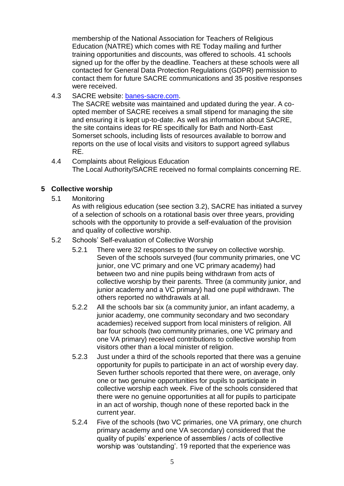membership of the National Association for Teachers of Religious Education (NATRE) which comes with RE Today mailing and further training opportunities and discounts, was offered to schools. 41 schools signed up for the offer by the deadline. Teachers at these schools were all contacted for General Data Protection Regulations (GDPR) permission to contact them for future SACRE communications and 35 positive responses were received.

4.3 SACRE website: [banes-sacre.com.](http://banes-sacre.com/)

The SACRE website was maintained and updated during the year. A coopted member of SACRE receives a small stipend for managing the site and ensuring it is kept up-to-date. As well as information about SACRE, the site contains ideas for RE specifically for Bath and North-East Somerset schools, including lists of resources available to borrow and reports on the use of local visits and visitors to support agreed syllabus RE.

4.4 Complaints about Religious Education The Local Authority/SACRE received no formal complaints concerning RE.

#### **5 Collective worship**

5.1 Monitoring

As with religious education (see section 3.2), SACRE has initiated a survey of a selection of schools on a rotational basis over three years, providing schools with the opportunity to provide a self-evaluation of the provision and quality of collective worship.

- 5.2 Schools' Self-evaluation of Collective Worship
	- 5.2.1 There were 32 responses to the survey on collective worship. Seven of the schools surveyed (four community primaries, one VC junior, one VC primary and one VC primary academy) had between two and nine pupils being withdrawn from acts of collective worship by their parents. Three (a community junior, and junior academy and a VC primary) had one pupil withdrawn. The others reported no withdrawals at all.
	- 5.2.2 All the schools bar six (a community junior, an infant academy, a junior academy, one community secondary and two secondary academies) received support from local ministers of religion. All bar four schools (two community primaries, one VC primary and one VA primary) received contributions to collective worship from visitors other than a local minister of religion.
	- 5.2.3 Just under a third of the schools reported that there was a genuine opportunity for pupils to participate in an act of worship every day. Seven further schools reported that there were, on average, only one or two genuine opportunities for pupils to participate in collective worship each week. Five of the schools considered that there were no genuine opportunities at all for pupils to participate in an act of worship, though none of these reported back in the current year.
	- 5.2.4 Five of the schools (two VC primaries, one VA primary, one church primary academy and one VA secondary) considered that the quality of pupils' experience of assemblies / acts of collective worship was 'outstanding'. 19 reported that the experience was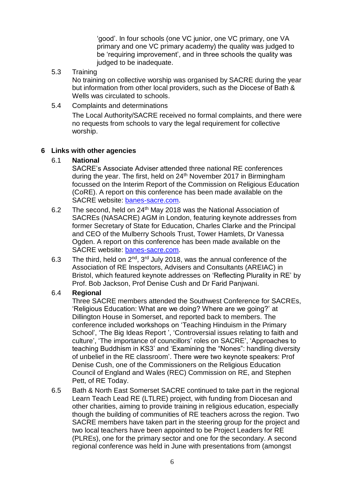'good'. In four schools (one VC junior, one VC primary, one VA primary and one VC primary academy) the quality was judged to be 'requiring improvement', and in three schools the quality was judged to be inadequate.

5.3 Training

No training on collective worship was organised by SACRE during the year but information from other local providers, such as the Diocese of Bath & Wells was circulated to schools.

5.4 Complaints and determinations

The Local Authority/SACRE received no formal complaints, and there were no requests from schools to vary the legal requirement for collective worship.

#### **6 Links with other agencies**

6.1 **National**

SACRE's Associate Adviser attended three national RE conferences during the year. The first, held on 24<sup>th</sup> November 2017 in Birmingham focussed on the Interim Report of the Commission on Religious Education (CoRE). A report on this conference has been made available on the SACRE website: [banes-sacre.com.](http://banes-sacre.com/)

- 6.2 The second, held on 24th May 2018 was the National Association of SACREs (NASACRE) AGM in London, featuring keynote addresses from former Secretary of State for Education, Charles Clarke and the Principal and CEO of the Mulberry Schools Trust, Tower Hamlets, Dr Vanessa Ogden. A report on this conference has been made available on the SACRE website: [banes-sacre.com.](http://banes-sacre.com/)
- 6.3 The third, held on  $2^{nd}$ ,  $3^{rd}$  July 2018, was the annual conference of the Association of RE Inspectors, Advisers and Consultants (AREIAC) in Bristol, which featured keynote addresses on 'Reflecting Plurality in RE' by Prof. Bob Jackson, Prof Denise Cush and Dr Farid Panjwani.

#### 6.4 **Regional**

Three SACRE members attended the Southwest Conference for SACREs, 'Religious Education: What are we doing? Where are we going?' at Dillington House in Somerset, and reported back to members. The conference included workshops on 'Teaching Hinduism in the Primary School', 'The Big Ideas Report ', 'Controversial issues relating to faith and culture', 'The importance of councillors' roles on SACRE', 'Approaches to teaching Buddhism in KS3' and 'Examining the "Nones": handling diversity of unbelief in the RE classroom'. There were two keynote speakers: Prof Denise Cush, one of the Commissioners on the Religious Education Council of England and Wales (REC) Commission on RE, and Stephen Pett, of RE Today.

6.5 Bath & North East Somerset SACRE continued to take part in the regional Learn Teach Lead RE (LTLRE) project, with funding from Diocesan and other charities, aiming to provide training in religious education, especially though the building of communities of RE teachers across the region. Two SACRE members have taken part in the steering group for the project and two local teachers have been appointed to be Project Leaders for RE (PLREs), one for the primary sector and one for the secondary. A second regional conference was held in June with presentations from (amongst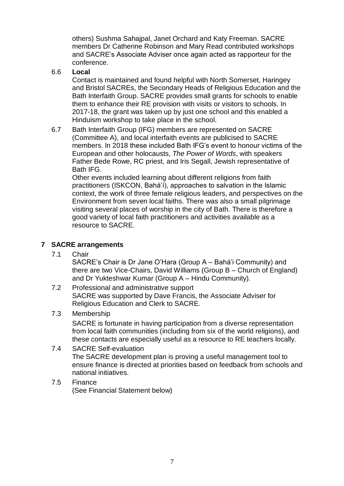others) Sushma Sahajpal, Janet Orchard and Katy Freeman. SACRE members Dr Catherine Robinson and Mary Read contributed workshops and SACRE's Associate Adviser once again acted as rapporteur for the conference.

#### 6.6 **Local**

Contact is maintained and found helpful with North Somerset, Haringey and Bristol SACREs, the Secondary Heads of Religious Education and the Bath Interfaith Group. SACRE provides small grants for schools to enable them to enhance their RE provision with visits or visitors to schools. In 2017-18, the grant was taken up by just one school and this enabled a Hinduism workshop to take place in the school.

6.7 Bath Interfaith Group (IFG) members are represented on SACRE (Committee A), and local interfaith events are publicised to SACRE members. In 2018 these included Bath IFG's event to honour victims of the European and other holocausts, *The Power of Words*, with speakers Father Bede Rowe, RC priest, and Iris Segall, Jewish representative of Bath IFG.

Other events included learning about different religions from faith practitioners (ISKCON, Bahá'í), approaches to salvation in the Islamic context, the work of three female religious leaders, and perspectives on the Environment from seven local faiths. There was also a small pilgrimage visiting several places of worship in the city of Bath. There is therefore a good variety of local faith practitioners and activities available as a resource to SACRE.

#### **7 SACRE arrangements**

7.1 Chair

SACRE's Chair is Dr Jane O'Hara (Group A – Bahá'i Community) and there are two Vice-Chairs, David Williams (Group B – Church of England) and Dr Yukteshwar Kumar (Group A – Hindu Community).

- 7.2 Professional and administrative support SACRE was supported by Dave Francis, the Associate Adviser for Religious Education and Clerk to SACRE.
- 7.3 Membership

SACRE is fortunate in having participation from a diverse representation from local faith communities (including from six of the world religions), and these contacts are especially useful as a resource to RE teachers locally.

- 7.4 SACRE Self-evaluation The SACRE development plan is proving a useful management tool to ensure finance is directed at priorities based on feedback from schools and national initiatives.
- 7.5 Finance (See Financial Statement below)